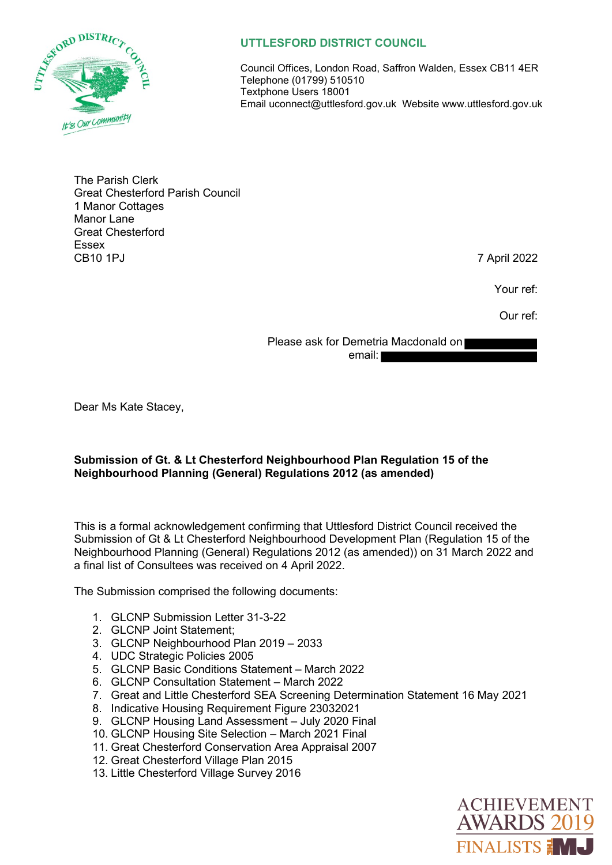

## **UTTLESFORD DISTRICT COUNCIL**

Council Offices, London Road, Saffron Walden, Essex CB11 4ER Telephone (01799) 510510 Textphone Users 18001 Email uconnect@uttlesford.gov.uk Website www.uttlesford.gov.uk

The Parish Clerk Great Chesterford Parish Council 1 Manor Cottages Manor Lane Great Chesterford Essex CB10 1PJ 7 April 2022

Your ref:

Our ref:

Please ask for Demetria Macdonald on email:

Dear Ms Kate Stacey,

## **Submission of Gt. & Lt Chesterford Neighbourhood Plan Regulation 15 of the Neighbourhood Planning (General) Regulations 2012 (as amended)**

This is a formal acknowledgement confirming that Uttlesford District Council received the Submission of Gt & Lt Chesterford Neighbourhood Development Plan (Regulation 15 of the Neighbourhood Planning (General) Regulations 2012 (as amended)) on 31 March 2022 and a final list of Consultees was received on 4 April 2022.

The Submission comprised the following documents:

- 1. GLCNP Submission Letter 31-3-22
- 2. GLCNP Joint Statement;
- 3. GLCNP Neighbourhood Plan 2019 2033
- 4. UDC Strategic Policies 2005
- 5. GLCNP Basic Conditions Statement March 2022
- 6. GLCNP Consultation Statement March 2022
- 7. Great and Little Chesterford SEA Screening Determination Statement 16 May 2021
- 8. Indicative Housing Requirement Figure 23032021
- 9. GLCNP Housing Land Assessment July 2020 Final
- 10. GLCNP Housing Site Selection March 2021 Final
- 11. Great Chesterford Conservation Area Appraisal 2007
- 12. Great Chesterford Village Plan 2015
- 13. Little Chesterford Village Survey 2016